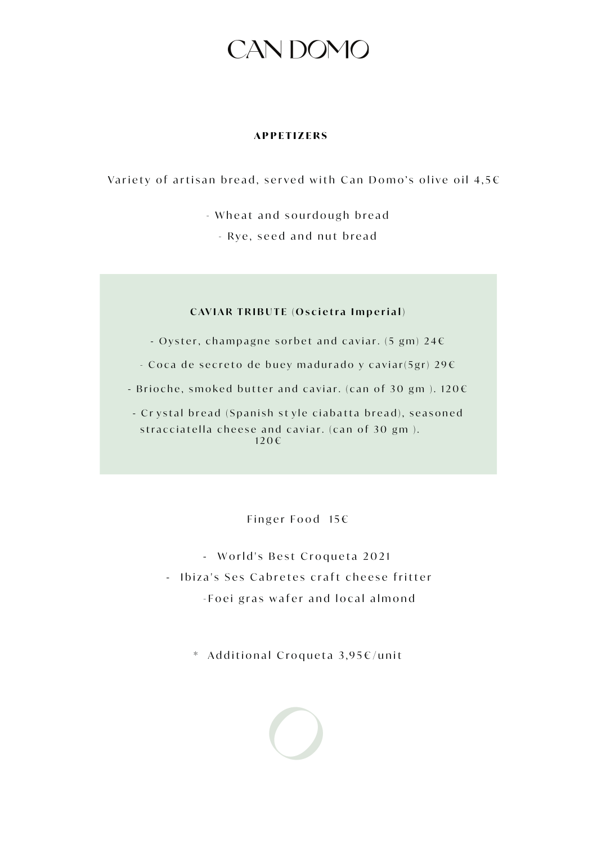#### **APPETIZERS**

Variety of artisan bread, served with Can Domo's olive oil  $4,5 \in$ 

- Wheat and sourdough bread

- Rye, seed and nut bread

### **CAVIAR TRIBUTE (Oscietra Imperial)**

- Oyster, champagne sorbet and caviar.  $(5 \text{ gm}) 24 \in$ 

- Coca de secreto de buey madurado y caviar(5gr) 29 $\epsilon$ 

- Brioche, smoked butter and caviar. (can of 30 gm).  $120 \in$ 

- Crystal bread (Spanish style ciabatta bread), seasoned stracciatella cheese and caviar. (can of 30 gm).  $120 \in$ 

Finger Food  $15 \in$ 

- World's Best Croqueta 2021 - Ibiza's Ses Cabretes craft cheese fritter -Foei gras wafer and local almond

\* Additional Croqueta 3,95€/unit

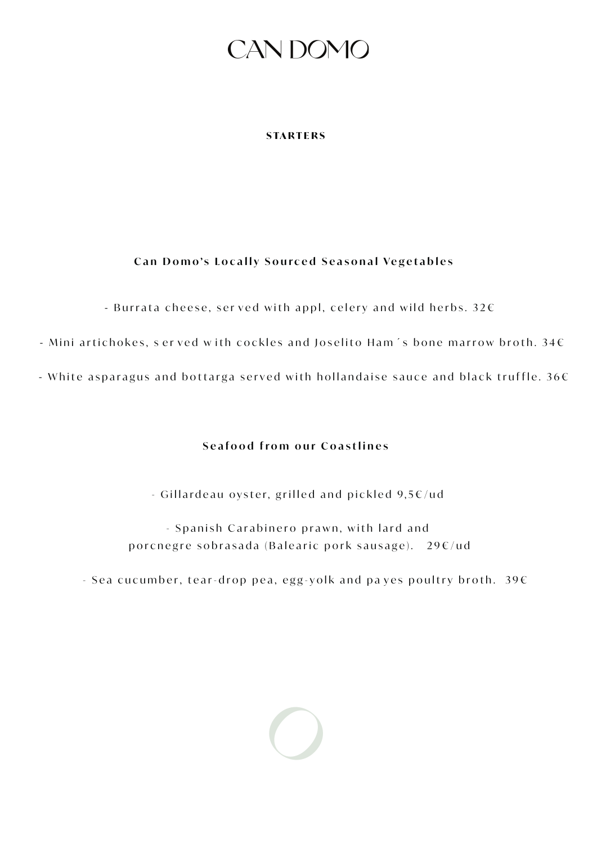### **STARTERS**

## Can Domo's Locally Sourced Seasonal Vegetables

- Burrata cheese, served with appl, celery and wild herbs. 32 $\varepsilon$ 

- Mini artichokes, served with cockles and Joselito Ham's bone marrow broth.  $34E$ 

- White asparagus and bottarga served with hollandaise sauce and black truffle.  $36 \in$ 

## **Seafood from our Coastlines**

- Gillardeau oyster, grilled and pickled  $9,5 \in \times 1$ 

- Spanish Carabinero prawn, with lard and porcnegre sobrasada (Balearic pork sausage).  $29 \times / \text{ud}$ 

- Sea cucumber, tear-drop pea, egg-yolk and payes poultry broth.  $39 \in$ 

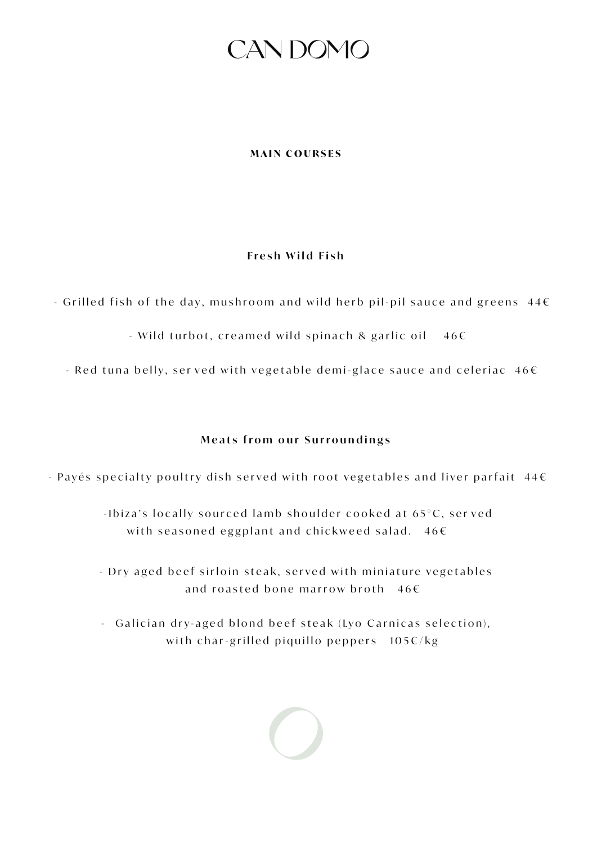#### **MAIN COURSES**

### **Fresh Wild Fish**

 $-$  Grilled fish of the day, mushroom and wild herb pil-pil sauce and greens 44 $\epsilon$ 

- Wild turbot, creamed wild spinach & garlic **YL Q DHWW** H  $46 \in$ 

 $-$  Red tuna belly, served with vegetable demi-glace sauce and celeriac  $46\epsilon$ 

## **Meats from our Surroundings**

 $-$  Payés specialty poultry dish served with root vegetables and liver parfait 44 $\epsilon$ 

-Ibiza's locally sourced lamb shoulder cooked at 65°C, served with seasoned eggplant and chickweed salad.  $46 \in$ 

- Dry aged beef sirloin steak, served with miniature vegetables and roasted bone marrow broth  $466$ 

- Galician dry-aged blond beef steak (Lyo Carnicas selection), with char-grilled piquillo peppers  $105 \epsilon/kg$